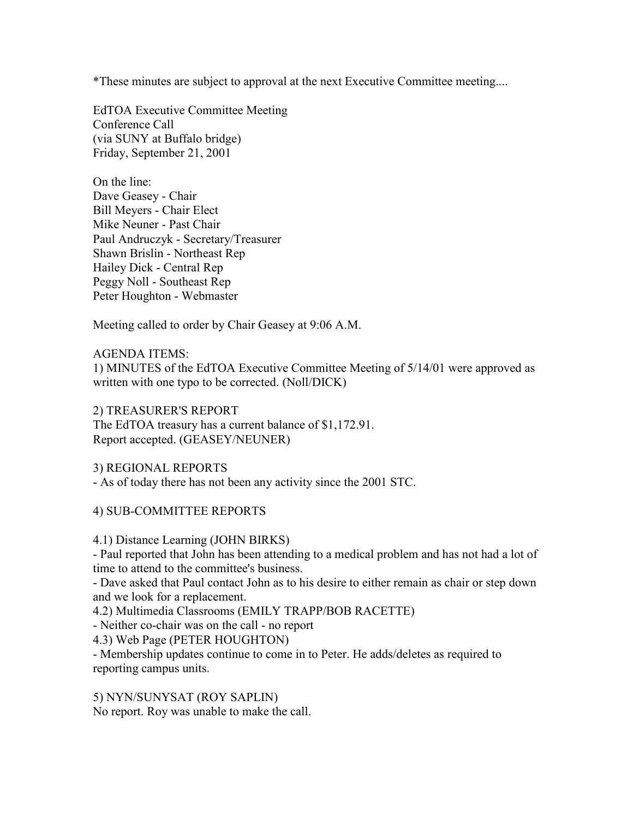\*These minutes are subject to approval at the next Executive Committee meeting....

EdTOA Executive Committee Meeting Conference Call (via SUNY at Buffalo bridge) Friday, September 21, 2001

On the line: Dave Geasey - Chair Bill Meyers - Chair Elect Mike Neuner - Past Chair Paul Andruczyk - Secretary/Treasurer Shawn Brislin - Northeast Rep Hailey Dick - Central Rep Peggy Noll - Southeast Rep Peter Houghton - Webmaster

Meeting called to order by Chair Geasey at 9:06 A.M.

AGENDA ITEMS:

1) MINUTES of the EdTOA Executive Committee Meeting of 5/14/01 were approved as written with one typo to be corrected. (Noll/DICK)

2) TREASURER'S REPORT The EdTOA treasury has a current balance of \$1,172.91. Report accepted. (GEASEY/NEUNER)

3) REGIONAL REPORTS - As of today there has not been any activity since the 2001 STC.

4) SUB-COMMITTEE REPORTS

4.1) Distance Learning (JOHN BIRKS)

- Paul reported that John has been attending to a medical problem and has not had a lot of time to attend to the committee's business.

- Dave asked that Paul contact John as to his desire to either remain as chair or step down and we look for a replacement.

4.2) Multimedia Classrooms (EMILY TRAPP/BOB RACETTE)

- Neither co-chair was on the call - no report

4.3) Web Page (PETER HOUGHTON)

- Membership updates continue to come in to Peter. He adds/deletes as required to reporting campus units.

5) NYN/SUNYSAT (ROY SAPLIN) No report. Roy was unable to make the call.